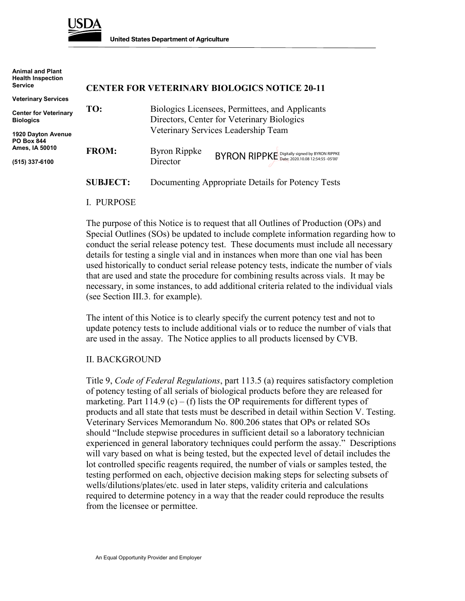

**Animal and Plant**

**United States Department of Agriculture** 

| Animal and Plant<br><b>Health Inspection</b><br><b>Service</b> |                 |                                                                                                                                      | <b>CENTER FOR VETERINARY BIOLOGICS NOTICE 20-11</b> |
|----------------------------------------------------------------|-----------------|--------------------------------------------------------------------------------------------------------------------------------------|-----------------------------------------------------|
| <b>Veterinary Services</b>                                     |                 |                                                                                                                                      |                                                     |
| <b>Center for Veterinary</b><br><b>Biologics</b>               | TO:             | Biologics Licensees, Permittees, and Applicants<br>Directors, Center for Veterinary Biologics<br>Veterinary Services Leadership Team |                                                     |
| 1920 Dayton Avenue<br><b>PO Box 844</b>                        |                 |                                                                                                                                      |                                                     |
| Ames, IA 50010<br>(515) 337-6100                               | <b>FROM:</b>    | <b>Byron Rippke</b><br>Director                                                                                                      | BYRON RIPPKE Date: 2020.10.08 12:54:55 -05'00'      |
|                                                                | <b>SUBJECT:</b> | Documenting Appropriate Details for Potency Tests                                                                                    |                                                     |

#### I. PURPOSE

The purpose of this Notice is to request that all Outlines of Production (OPs) and Special Outlines (SOs) be updated to include complete information regarding how to conduct the serial release potency test. These documents must include all necessary details for testing a single vial and in instances when more than one vial has been used historically to conduct serial release potency tests, indicate the number of vials that are used and state the procedure for combining results across vials. It may be necessary, in some instances, to add additional criteria related to the individual vials (see Section III.3. for example).

The intent of this Notice is to clearly specify the current potency test and not to update potency tests to include additional vials or to reduce the number of vials that are used in the assay. The Notice applies to all products licensed by CVB.

#### II. BACKGROUND

Title 9, *Code of Federal Regulations*, part 113.5 (a) requires satisfactory completion of potency testing of all serials of biological products before they are released for marketing. Part 114.9 (c) – (f) lists the OP requirements for different types of products and all state that tests must be described in detail within Section V. Testing. Veterinary Services Memorandum No. 800.206 states that OPs or related SOs should "Include stepwise procedures in sufficient detail so a laboratory technician experienced in general laboratory techniques could perform the assay." Descriptions will vary based on what is being tested, but the expected level of detail includes the lot controlled specific reagents required, the number of vials or samples tested, the testing performed on each, objective decision making steps for selecting subsets of wells/dilutions/plates/etc. used in later steps, validity criteria and calculations required to determine potency in a way that the reader could reproduce the results from the licensee or permittee.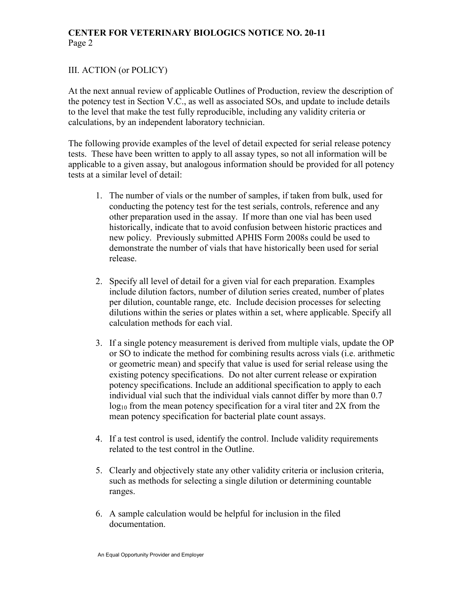# **CENTER FOR VETERINARY BIOLOGICS NOTICE NO. 20-11** Page 2

## III. ACTION (or POLICY)

At the next annual review of applicable Outlines of Production, review the description of the potency test in Section V.C., as well as associated SOs, and update to include details to the level that make the test fully reproducible, including any validity criteria or calculations, by an independent laboratory technician.

The following provide examples of the level of detail expected for serial release potency tests. These have been written to apply to all assay types, so not all information will be applicable to a given assay, but analogous information should be provided for all potency tests at a similar level of detail:

- 1. The number of vials or the number of samples, if taken from bulk, used for conducting the potency test for the test serials, controls, reference and any other preparation used in the assay. If more than one vial has been used historically, indicate that to avoid confusion between historic practices and new policy. Previously submitted APHIS Form 2008s could be used to demonstrate the number of vials that have historically been used for serial release.
- 2. Specify all level of detail for a given vial for each preparation. Examples include dilution factors, number of dilution series created, number of plates per dilution, countable range, etc. Include decision processes for selecting dilutions within the series or plates within a set, where applicable. Specify all calculation methods for each vial.
- 3. If a single potency measurement is derived from multiple vials, update the OP or SO to indicate the method for combining results across vials (i.e. arithmetic or geometric mean) and specify that value is used for serial release using the existing potency specifications. Do not alter current release or expiration potency specifications. Include an additional specification to apply to each individual vial such that the individual vials cannot differ by more than 0.7  $log_{10}$  from the mean potency specification for a viral titer and 2X from the mean potency specification for bacterial plate count assays.
- 4. If a test control is used, identify the control. Include validity requirements related to the test control in the Outline.
- 5. Clearly and objectively state any other validity criteria or inclusion criteria, such as methods for selecting a single dilution or determining countable ranges.
- 6. A sample calculation would be helpful for inclusion in the filed documentation.